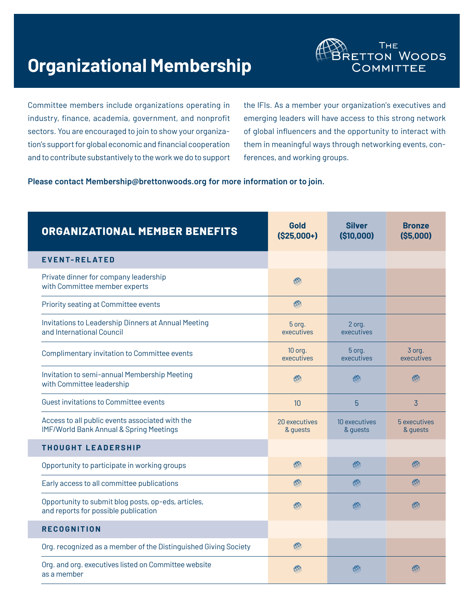# **Organizational Membership**



Committee members include organizations operating in industry, finance, academia, government, and nonprofit sectors. You are encouraged to join to show your organization's support for global economic and financial cooperation and to contribute substantively to the work we do to support the IFIs. As a member your organization's executives and emerging leaders will have access to this strong network of global influencers and the opportunity to interact with them in meaningful ways through networking events, conferences, and working groups.

#### **Please contact Membershi[p@brettonwoods.org](mailto:RMuthig@brettonwoods.org) for more information or to join.**

| <b>ORGANIZATIONAL MEMBER BENEFITS</b>                                                       | Gold<br>$($25,000+)$      | <b>Silver</b><br>(\$10,000) | <b>Bronze</b><br>(S5,000) |
|---------------------------------------------------------------------------------------------|---------------------------|-----------------------------|---------------------------|
| <b>EVENT-RELATED</b>                                                                        |                           |                             |                           |
| Private dinner for company leadership<br>with Committee member experts                      | AN.                       |                             |                           |
| Priority seating at Committee events                                                        | 48                        |                             |                           |
| Invitations to Leadership Dinners at Annual Meeting<br>and International Council            | 5 org.<br>executives      | 2 org.<br>executives        |                           |
| Complimentary invitation to Committee events                                                | 10 org.<br>executives     | 5 org.<br>executives        | 3 org.<br>executives      |
| Invitation to semi-annual Membership Meeting<br>with Committee leadership                   | $\mathbb{R}$              | 心                           | $\mathbb{R}$              |
| Guest invitations to Committee events                                                       | 10                        | 5                           | $\overline{3}$            |
| Access to all public events associated with the<br>IMF/World Bank Annual & Spring Meetings  | 20 executives<br>& guests | 10 executives<br>& guests   | 5 executives<br>& guests  |
| <b>THOUGHT LEADERSHIP</b>                                                                   |                           |                             |                           |
| Opportunity to participate in working groups                                                | 439                       | AS.                         | 483                       |
| Early access to all committee publications                                                  | 483                       | $\mathbb{R}$                | $\mathbb{R}$              |
| Opportunity to submit blog posts, op-eds, articles,<br>and reports for possible publication | $\mathbb{R}$              | 心                           | 482                       |
| <b>RECOGNITION</b>                                                                          |                           |                             |                           |
| Org. recognized as a member of the Distinguished Giving Society                             | 感                         |                             |                           |
| Org. and org. executives listed on Committee website<br>as a member                         | ДX.                       | 481                         | 18                        |